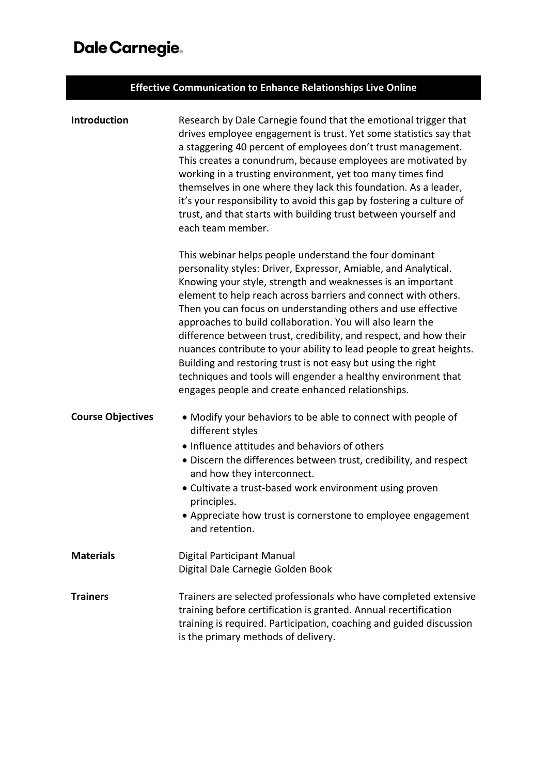## Dale Carnegie.

| <b>Effective Communication to Enhance Relationships Live Online</b> |                                                                                                                                                                                                                                                                                                                                                                                                                                                                                                                                                                                                                                                                                                                            |  |
|---------------------------------------------------------------------|----------------------------------------------------------------------------------------------------------------------------------------------------------------------------------------------------------------------------------------------------------------------------------------------------------------------------------------------------------------------------------------------------------------------------------------------------------------------------------------------------------------------------------------------------------------------------------------------------------------------------------------------------------------------------------------------------------------------------|--|
| Introduction                                                        | Research by Dale Carnegie found that the emotional trigger that<br>drives employee engagement is trust. Yet some statistics say that<br>a staggering 40 percent of employees don't trust management.<br>This creates a conundrum, because employees are motivated by<br>working in a trusting environment, yet too many times find<br>themselves in one where they lack this foundation. As a leader,<br>it's your responsibility to avoid this gap by fostering a culture of<br>trust, and that starts with building trust between yourself and<br>each team member.                                                                                                                                                      |  |
|                                                                     | This webinar helps people understand the four dominant<br>personality styles: Driver, Expressor, Amiable, and Analytical.<br>Knowing your style, strength and weaknesses is an important<br>element to help reach across barriers and connect with others.<br>Then you can focus on understanding others and use effective<br>approaches to build collaboration. You will also learn the<br>difference between trust, credibility, and respect, and how their<br>nuances contribute to your ability to lead people to great heights.<br>Building and restoring trust is not easy but using the right<br>techniques and tools will engender a healthy environment that<br>engages people and create enhanced relationships. |  |
| <b>Course Objectives</b>                                            | • Modify your behaviors to be able to connect with people of<br>different styles<br>• Influence attitudes and behaviors of others<br>• Discern the differences between trust, credibility, and respect<br>and how they interconnect.<br>• Cultivate a trust-based work environment using proven<br>principles.<br>• Appreciate how trust is cornerstone to employee engagement<br>and retention.                                                                                                                                                                                                                                                                                                                           |  |
| <b>Materials</b>                                                    | Digital Participant Manual<br>Digital Dale Carnegie Golden Book                                                                                                                                                                                                                                                                                                                                                                                                                                                                                                                                                                                                                                                            |  |
| <b>Trainers</b>                                                     | Trainers are selected professionals who have completed extensive<br>training before certification is granted. Annual recertification<br>training is required. Participation, coaching and guided discussion<br>is the primary methods of delivery.                                                                                                                                                                                                                                                                                                                                                                                                                                                                         |  |